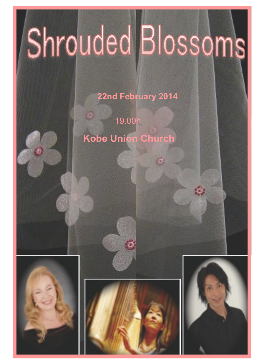# Shrouded Blossoms

**22nd February 2014**

19.00h **Kobe Union Church**





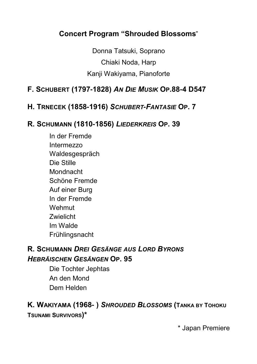# **Concert Program "Shrouded Blossoms**"

Donna Tatsuki, Soprano Chiaki Noda, Harp Kanji Wakiyama, Pianoforte

## **F. SCHUBERT (1797-1828)** *AN DIE MUSIK* **OP.88-4 D547**

#### **H. TRNECEK (1858-1916)** *SCHUBERT-FANTASIE* **OP. 7**

#### **R. SCHUMANN (1810-1856)** *LIEDERKREIS* **OP. 39**

In der Fremde Intermezzo Waldesgespräch Die Stille Mondnacht Schöne Fremde Auf einer Burg In der Fremde Wehmut **Zwielicht** Im Walde Frühlingsnacht

## **R. SCHUMANN** *DREI GESÄNGE AUS LORD BYRONS HEBRÄISCHEN GESÄNGEN* **OP. 95**

Die Tochter Jephtas An den Mond Dem Helden

# **K. WAKIYAMA (1968- )** *SHROUDED BLOSSOMS* **(TANKA BY TOHOKU**

**TSUNAMI SURVIVORS)\***

\* Japan Premiere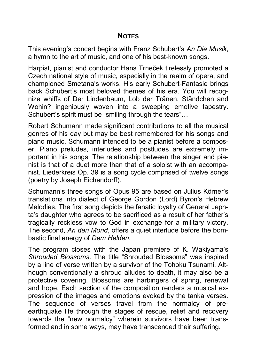#### **NOTES**

This evening's concert begins with Franz Schubert's *An Die Musik*, a hymn to the art of music, and one of his best-known songs.

Harpist, pianist and conductor Hans Trneček tirelessly promoted a Czech national style of music, especially in the realm of opera, and championed Smetana's works. His early Schubert-Fantasie brings back Schubert's most beloved themes of his era. You will recognize whiffs of Der Lindenbaum, Lob der Tränen, Ständchen and Wohin? ingeniously woven into a sweeping emotive tapestry. Schubert's spirit must be "smiling through the tears"…

Robert Schumann made significant contributions to all the musical genres of his day but may be best remembered for his songs and piano music. Schumann intended to be a pianist before a composer. Piano preludes, interludes and postludes are extremely important in his songs. The relationship between the singer and pianist is that of a duet more than that of a soloist with an accompanist. Liederkreis Op. 39 is a song cycle comprised of twelve songs (poetry by Joseph Eichendorff).

Schumann's three songs of Opus 95 are based on Julius Körner's translations into dialect of George Gordon (Lord) Byron's Hebrew Melodies. The first song depicts the fanatic loyalty of General Jephta's daughter who agrees to be sacrificed as a result of her father's tragically reckless vow to God in exchange for a military victory. The second, *An den Mond*, offers a quiet interlude before the bombastic final energy of *Dem Helden*.

The program closes with the Japan premiere of K. Wakiyama's *Shrouded Blossoms*. The title "Shrouded Blossoms" was inspired by a line of verse written by a survivor of the Tohoku Tsunami. Although conventionally a shroud alludes to death, it may also be a protective covering. Blossoms are harbingers of spring, renewal and hope. Each section of the composition renders a musical expression of the images and emotions evoked by the tanka verses. The sequence of verses travel from the normalcy of preearthquake life through the stages of rescue, relief and recovery towards the "new normalcy" wherein survivors have been transformed and in some ways, may have transcended their suffering.